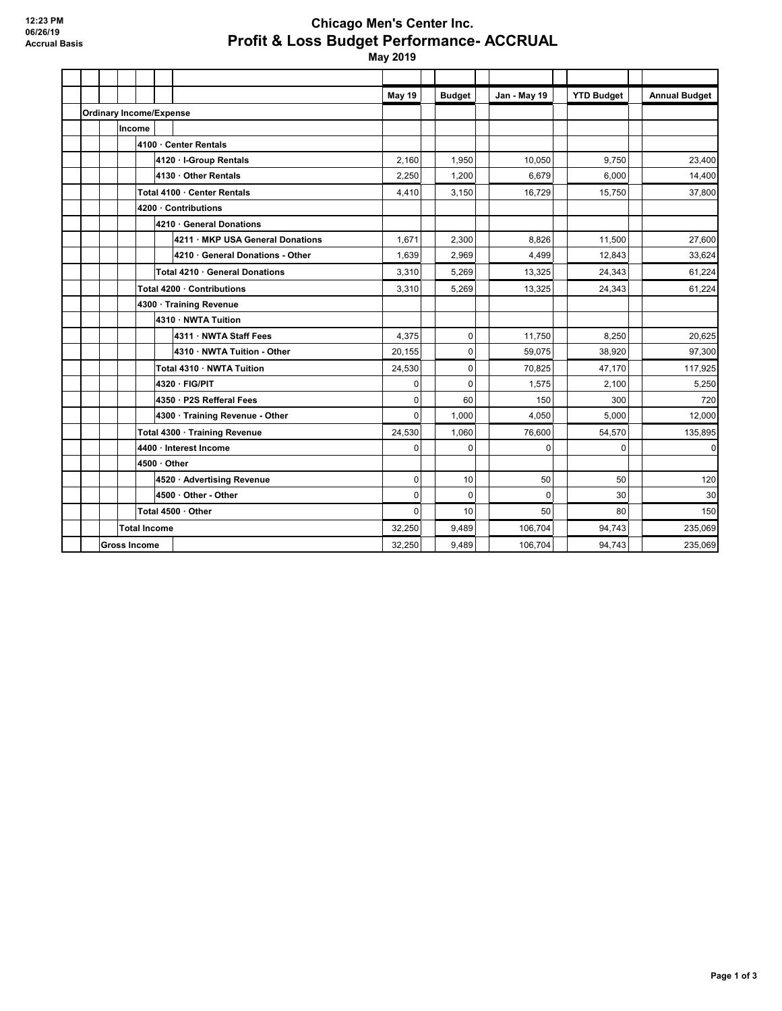## **Chicago Men's Center Inc. Profit & Loss Budget Performance- ACCRUAL**

 **May 2019**

|                                |                     |                     |                                  | May 19      | <b>Budget</b> | Jan - May 19 | <b>YTD Budget</b> | <b>Annual Budget</b> |
|--------------------------------|---------------------|---------------------|----------------------------------|-------------|---------------|--------------|-------------------|----------------------|
| <b>Ordinary Income/Expense</b> |                     |                     |                                  |             |               |              |                   |                      |
|                                |                     | Income              |                                  |             |               |              |                   |                      |
|                                |                     |                     | 4100 · Center Rentals            |             |               |              |                   |                      |
|                                |                     |                     | 4120 · I-Group Rentals           | 2.160       | 1,950         | 10.050       | 9,750             | 23.400               |
|                                |                     |                     | 4130 · Other Rentals             | 2,250       | 1,200         | 6.679        | 6.000             | 14,400               |
|                                |                     |                     | Total 4100 · Center Rentals      | 4,410       | 3,150         | 16,729       | 15,750            | 37,800               |
|                                |                     |                     | 4200 · Contributions             |             |               |              |                   |                      |
|                                |                     |                     | 4210 · General Donations         |             |               |              |                   |                      |
|                                |                     |                     | 4211 · MKP USA General Donations | 1,671       | 2,300         | 8.826        | 11,500            | 27,600               |
|                                |                     |                     | 4210 · General Donations - Other | 1,639       | 2,969         | 4,499        | 12,843            | 33,624               |
|                                |                     |                     | Total 4210 · General Donations   | 3,310       | 5,269         | 13.325       | 24,343            | 61,224               |
|                                |                     |                     | Total 4200 · Contributions       | 3,310       | 5,269         | 13,325       | 24,343            | 61,224               |
|                                |                     |                     | 4300 · Training Revenue          |             |               |              |                   |                      |
|                                |                     |                     | 4310 · NWTA Tuition              |             |               |              |                   |                      |
|                                |                     |                     | 4311 · NWTA Staff Fees           | 4,375       | $\mathbf 0$   | 11,750       | 8,250             | 20,625               |
|                                |                     |                     | 4310 · NWTA Tuition - Other      | 20,155      | 0             | 59,075       | 38,920            | 97,300               |
|                                |                     |                     | Total 4310 · NWTA Tuition        | 24,530      | $\mathbf 0$   | 70.825       | 47,170            | 117,925              |
|                                |                     |                     | 4320 · FIG/PIT                   | 0           | $\mathbf 0$   | 1,575        | 2,100             | 5,250                |
|                                |                     |                     | 4350 · P2S Refferal Fees         | $\mathbf 0$ | 60            | 150          | 300               | 720                  |
|                                |                     |                     | 4300 · Training Revenue - Other  | $\Omega$    | 1,000         | 4,050        | 5,000             | 12,000               |
|                                |                     |                     | Total 4300 · Training Revenue    | 24,530      | 1,060         | 76,600       | 54,570            | 135,895              |
|                                |                     |                     | 4400 · Interest Income           | $\mathbf 0$ | $\mathbf{0}$  | 0            | $\Omega$          | $\Omega$             |
|                                |                     |                     | 4500 · Other                     |             |               |              |                   |                      |
|                                |                     |                     | 4520 · Advertising Revenue       | $\mathbf 0$ | 10            | 50           | 50                | 120                  |
|                                |                     |                     | 4500 · Other - Other             | $\Omega$    | $\mathbf{0}$  | $\Omega$     | 30                | 30                   |
|                                |                     |                     | Total 4500 · Other               | $\mathbf 0$ | 10            | 50           | 80                | 150                  |
|                                |                     | <b>Total Income</b> |                                  | 32,250      | 9.489         | 106.704      | 94.743            | 235.069              |
|                                | <b>Gross Income</b> |                     | 32.250                           | 9,489       | 106,704       | 94,743       | 235,069           |                      |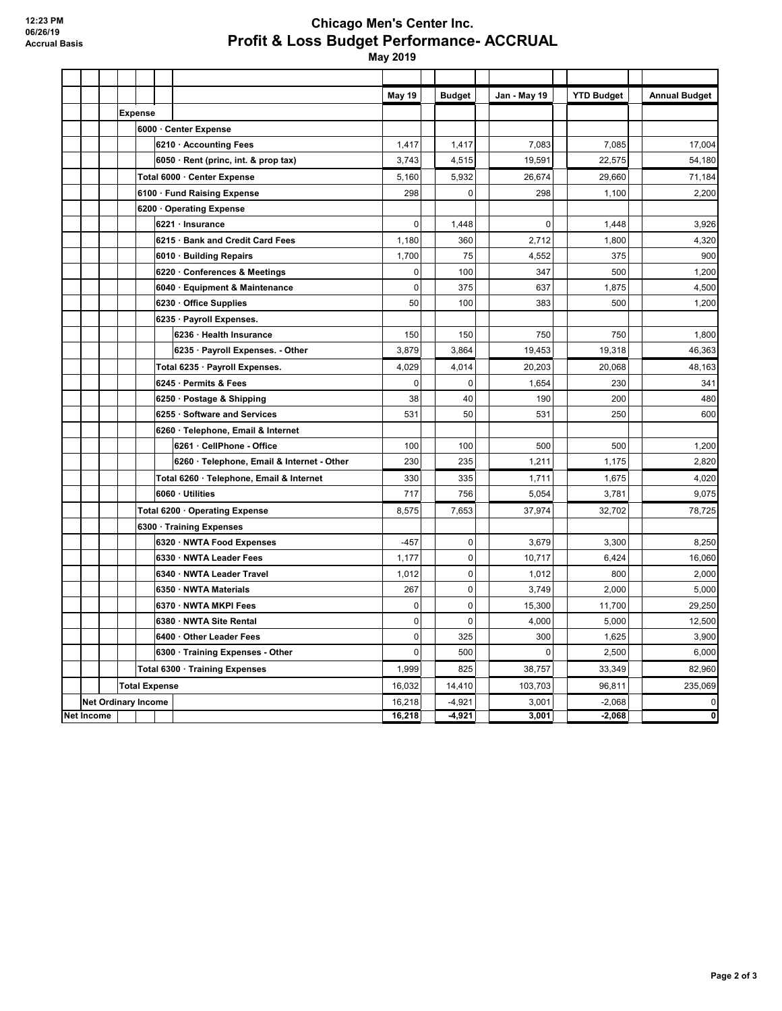## **Chicago Men's Center Inc. Profit & Loss Budget Performance- ACCRUAL**

 **May 2019**

|            |  |                            |                                            | May 19      | <b>Budget</b> | Jan - May 19          | <b>YTD Budget</b> | <b>Annual Budget</b> |
|------------|--|----------------------------|--------------------------------------------|-------------|---------------|-----------------------|-------------------|----------------------|
|            |  | <b>Expense</b>             |                                            |             |               |                       |                   |                      |
|            |  |                            | 6000 · Center Expense                      |             |               |                       |                   |                      |
|            |  |                            | 6210 · Accounting Fees                     | 1,417       | 1,417         | 7,083                 | 7,085             | 17,004               |
|            |  |                            | 6050 · Rent (princ, int. & prop tax)       | 3,743       | 4,515         | 19,591                | 22,575            | 54,180               |
|            |  |                            | Total 6000 · Center Expense                | 5,160       | 5,932         | 26,674                | 29,660            | 71,184               |
|            |  |                            | 6100 · Fund Raising Expense                | 298         |               | 298<br>$\mathbf 0$    | 1,100             | 2,200                |
|            |  |                            | 6200 Operating Expense                     |             |               |                       |                   |                      |
|            |  |                            | 6221 · Insurance                           | $\mathbf 0$ | 1,448         | $\mathbf 0$           | 1,448             | 3,926                |
|            |  |                            | 6215 · Bank and Credit Card Fees           | 1,180       | 360           | 2,712                 | 1,800             | 4,320                |
|            |  |                            | 6010 · Building Repairs                    | 1,700       | 75            | 4,552                 | 375               | 900                  |
|            |  |                            | 6220 · Conferences & Meetings              | $\pmb{0}$   | 100           | 347                   | 500               | 1,200                |
|            |  |                            | 6040 · Equipment & Maintenance             | $\pmb{0}$   | 375           | 637                   | 1,875             | 4,500                |
|            |  |                            | 6230 Office Supplies                       | 50          | 100           | 383                   | 500               | 1,200                |
|            |  |                            | 6235 · Payroll Expenses.                   |             |               |                       |                   |                      |
|            |  |                            | 6236 · Health Insurance                    | 150         | 150           | 750                   | 750               | 1,800                |
|            |  |                            | 6235 · Payroll Expenses. - Other           | 3,879       | 3,864         | 19.453                | 19,318            | 46,363               |
|            |  |                            | Total 6235 · Payroll Expenses.             | 4,029       | 4,014         | 20,203                | 20,068            | 48,163               |
|            |  |                            | 6245 Permits & Fees                        | $\pmb{0}$   |               | 1,654<br>0            | 230               | 341                  |
|            |  |                            | 6250 · Postage & Shipping                  | 38          | 40            | 190                   | 200               | 480                  |
|            |  |                            | 6255 Software and Services                 | 531         | 50            | 531                   | 250               | 600                  |
|            |  |                            | 6260 · Telephone, Email & Internet         |             |               |                       |                   |                      |
|            |  |                            | 6261 · CellPhone - Office                  | 100         | 100           | 500                   | 500               | 1,200                |
|            |  |                            | 6260 · Telephone, Email & Internet - Other | 230         | 235           | 1,211                 | 1,175             | 2,820                |
|            |  |                            | Total 6260 · Telephone, Email & Internet   | 330         | 335           | 1.711                 | 1,675             | 4,020                |
|            |  |                            | 6060 Utilities                             | 717         | 756           | 5,054                 | 3,781             | 9,075                |
|            |  |                            | Total 6200 · Operating Expense             | 8,575       | 7,653         | 37,974                | 32,702            | 78,725               |
|            |  |                            | 6300 · Training Expenses                   |             |               |                       |                   |                      |
|            |  |                            | 6320 · NWTA Food Expenses                  | $-457$      |               | $\Omega$<br>3.679     | 3.300             | 8,250                |
|            |  |                            | 6330 · NWTA Leader Fees                    | 1,177       |               | $\mathbf 0$<br>10,717 | 6,424             | 16,060               |
|            |  |                            | 6340 · NWTA Leader Travel                  | 1,012       |               | $\mathbf 0$<br>1,012  | 800               | 2,000                |
|            |  |                            | 6350 NWTA Materials                        | 267         |               | 0<br>3,749            | 2,000             | 5,000                |
|            |  |                            | 6370 · NWTA MKPI Fees                      | $\mathbf 0$ |               | $\mathbf 0$<br>15,300 | 11,700            | 29,250               |
|            |  |                            | 6380 · NWTA Site Rental                    | $\pmb{0}$   |               | $\mathbf 0$<br>4,000  | 5,000             | 12,500               |
|            |  |                            | 6400 Other Leader Fees                     | $\mathbf 0$ | 325           | 300                   | 1,625             | 3,900                |
|            |  |                            | 6300 · Training Expenses - Other           | $\mathbf 0$ | 500           | $\mathbf{0}$          | 2,500             | 6,000                |
|            |  |                            | Total 6300 · Training Expenses             | 1,999       | 825           | 38,757                | 33,349            | 82,960               |
|            |  |                            | <b>Total Expense</b>                       | 16,032      | 14,410        | 103,703               | 96,811            | 235,069              |
|            |  | <b>Net Ordinary Income</b> |                                            | 16,218      | $-4.921$      | 3,001                 | $-2.068$          | $\mathbf 0$          |
| Net Income |  |                            |                                            | 16,218      | $-4,921$      | 3,001                 | $-2,068$          | 0                    |